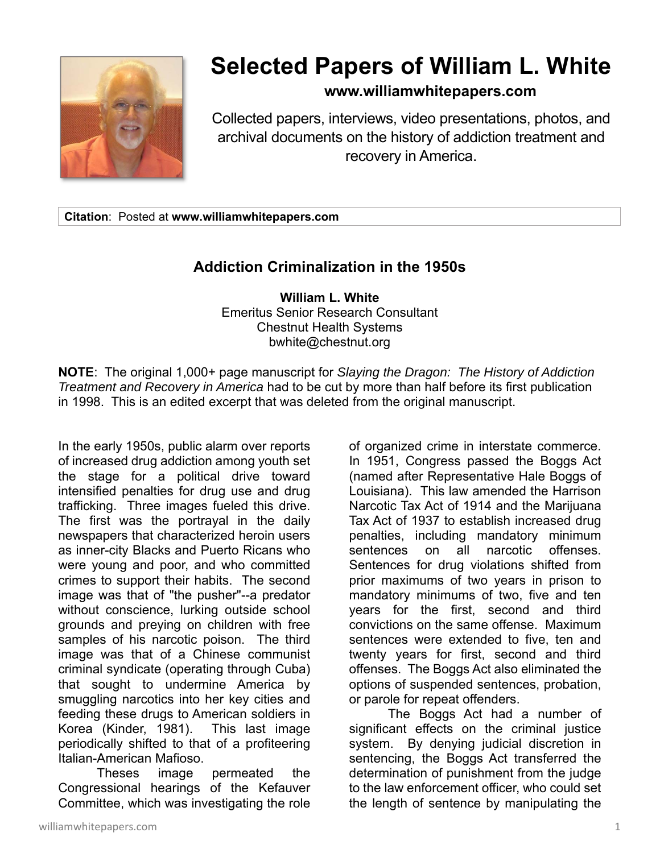

## **Selected Papers of William L. White**

## **www.williamwhitepapers.com**

Collected papers, interviews, video presentations, photos, and archival documents on the history of addiction treatment and recovery in America.

**Citation**: Posted at **www.williamwhitepapers.com** 

## **Addiction Criminalization in the 1950s**

**William L. White**  Emeritus Senior Research Consultant Chestnut Health Systems bwhite@chestnut.org

**NOTE**: The original 1,000+ page manuscript for *Slaying the Dragon: The History of Addiction Treatment and Recovery in America* had to be cut by more than half before its first publication in 1998. This is an edited excerpt that was deleted from the original manuscript.

In the early 1950s, public alarm over reports of increased drug addiction among youth set the stage for a political drive toward intensified penalties for drug use and drug trafficking. Three images fueled this drive. The first was the portrayal in the daily newspapers that characterized heroin users as inner-city Blacks and Puerto Ricans who were young and poor, and who committed crimes to support their habits. The second image was that of "the pusher"--a predator without conscience, lurking outside school grounds and preying on children with free samples of his narcotic poison. The third image was that of a Chinese communist criminal syndicate (operating through Cuba) that sought to undermine America by smuggling narcotics into her key cities and feeding these drugs to American soldiers in Korea (Kinder, 1981). This last image periodically shifted to that of a profiteering Italian-American Mafioso.

 Theses image permeated the Congressional hearings of the Kefauver Committee, which was investigating the role of organized crime in interstate commerce. In 1951, Congress passed the Boggs Act (named after Representative Hale Boggs of Louisiana). This law amended the Harrison Narcotic Tax Act of 1914 and the Marijuana Tax Act of 1937 to establish increased drug penalties, including mandatory minimum sentences on all narcotic offenses. Sentences for drug violations shifted from prior maximums of two years in prison to mandatory minimums of two, five and ten years for the first, second and third convictions on the same offense. Maximum sentences were extended to five, ten and twenty years for first, second and third offenses. The Boggs Act also eliminated the options of suspended sentences, probation, or parole for repeat offenders.

The Boggs Act had a number of significant effects on the criminal justice system. By denying judicial discretion in sentencing, the Boggs Act transferred the determination of punishment from the judge to the law enforcement officer, who could set the length of sentence by manipulating the